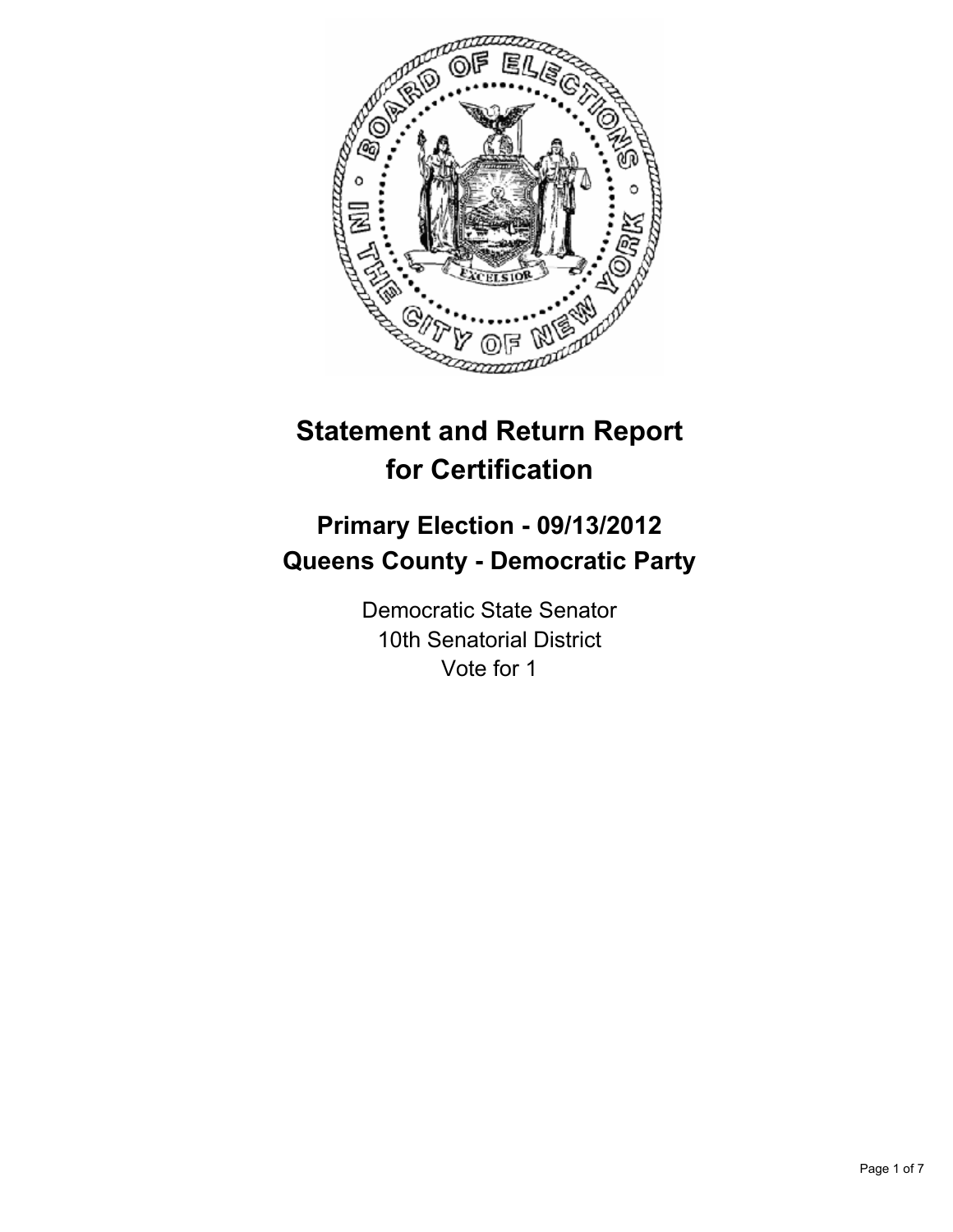

# **Statement and Return Report for Certification**

## **Primary Election - 09/13/2012 Queens County - Democratic Party**

Democratic State Senator 10th Senatorial District Vote for 1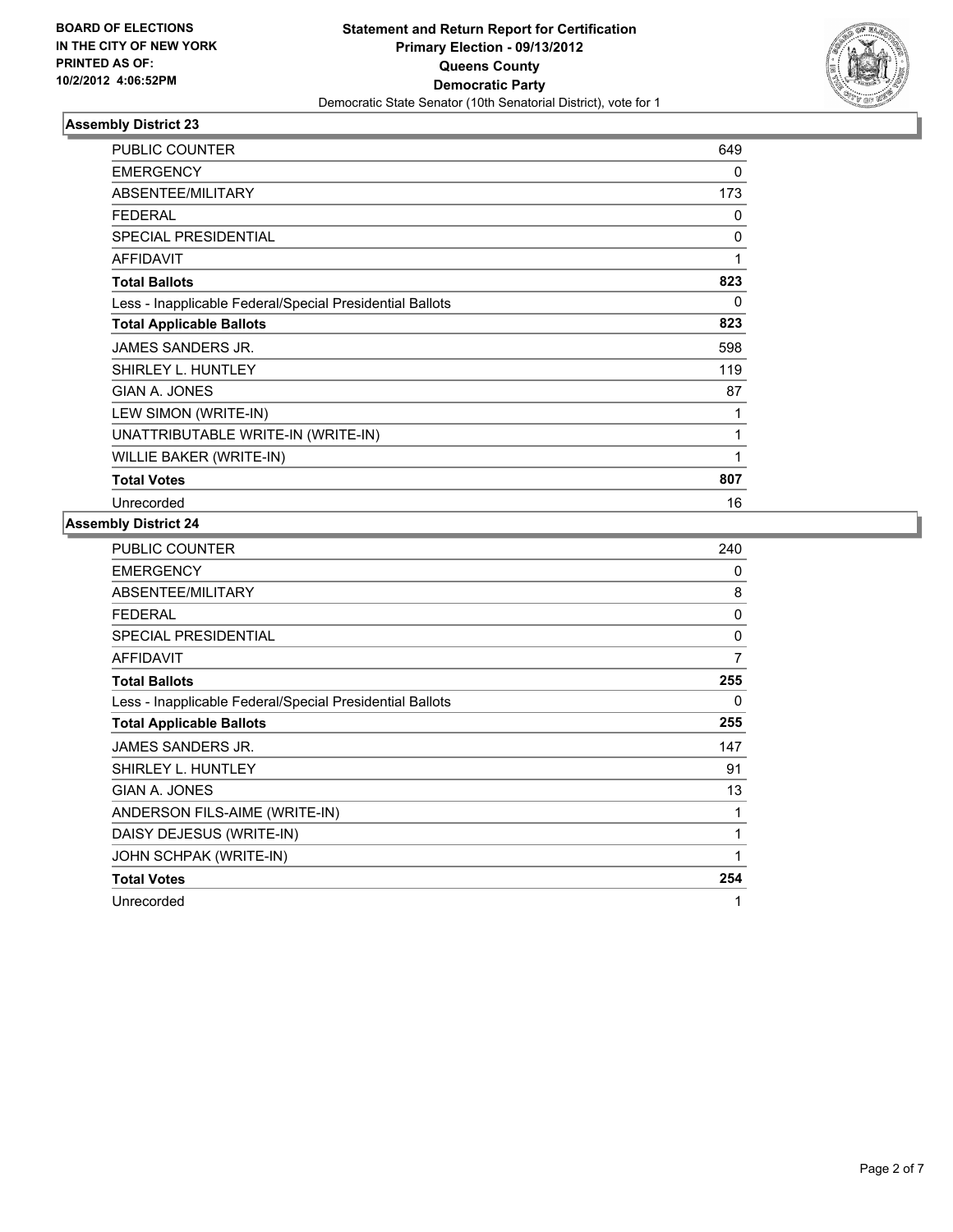

| <b>PUBLIC COUNTER</b>                                    | 649 |
|----------------------------------------------------------|-----|
| <b>EMERGENCY</b>                                         | 0   |
| ABSENTEE/MILITARY                                        | 173 |
| <b>FEDERAL</b>                                           | 0   |
| <b>SPECIAL PRESIDENTIAL</b>                              | 0   |
| <b>AFFIDAVIT</b>                                         | 1   |
| <b>Total Ballots</b>                                     | 823 |
| Less - Inapplicable Federal/Special Presidential Ballots | 0   |
| <b>Total Applicable Ballots</b>                          | 823 |
| <b>JAMES SANDERS JR.</b>                                 | 598 |
| SHIRLEY L. HUNTLEY                                       | 119 |
| GIAN A. JONES                                            | 87  |
| LEW SIMON (WRITE-IN)                                     | 1   |
| UNATTRIBUTABLE WRITE-IN (WRITE-IN)                       | 1   |
| WILLIE BAKER (WRITE-IN)                                  | 1   |
| <b>Total Votes</b>                                       | 807 |
| Unrecorded                                               | 16  |

| <b>PUBLIC COUNTER</b>                                    | 240 |
|----------------------------------------------------------|-----|
| <b>EMERGENCY</b>                                         | 0   |
| ABSENTEE/MILITARY                                        | 8   |
| <b>FEDERAL</b>                                           | 0   |
| <b>SPECIAL PRESIDENTIAL</b>                              | 0   |
| AFFIDAVIT                                                | 7   |
| <b>Total Ballots</b>                                     | 255 |
| Less - Inapplicable Federal/Special Presidential Ballots | 0   |
| <b>Total Applicable Ballots</b>                          | 255 |
| JAMES SANDERS JR.                                        | 147 |
| SHIRLEY L. HUNTLEY                                       | 91  |
| GIAN A. JONES                                            | 13  |
| ANDERSON FILS-AIME (WRITE-IN)                            | 1   |
| DAISY DEJESUS (WRITE-IN)                                 | 1   |
| JOHN SCHPAK (WRITE-IN)                                   | 1   |
| <b>Total Votes</b>                                       | 254 |
| Unrecorded                                               | 1   |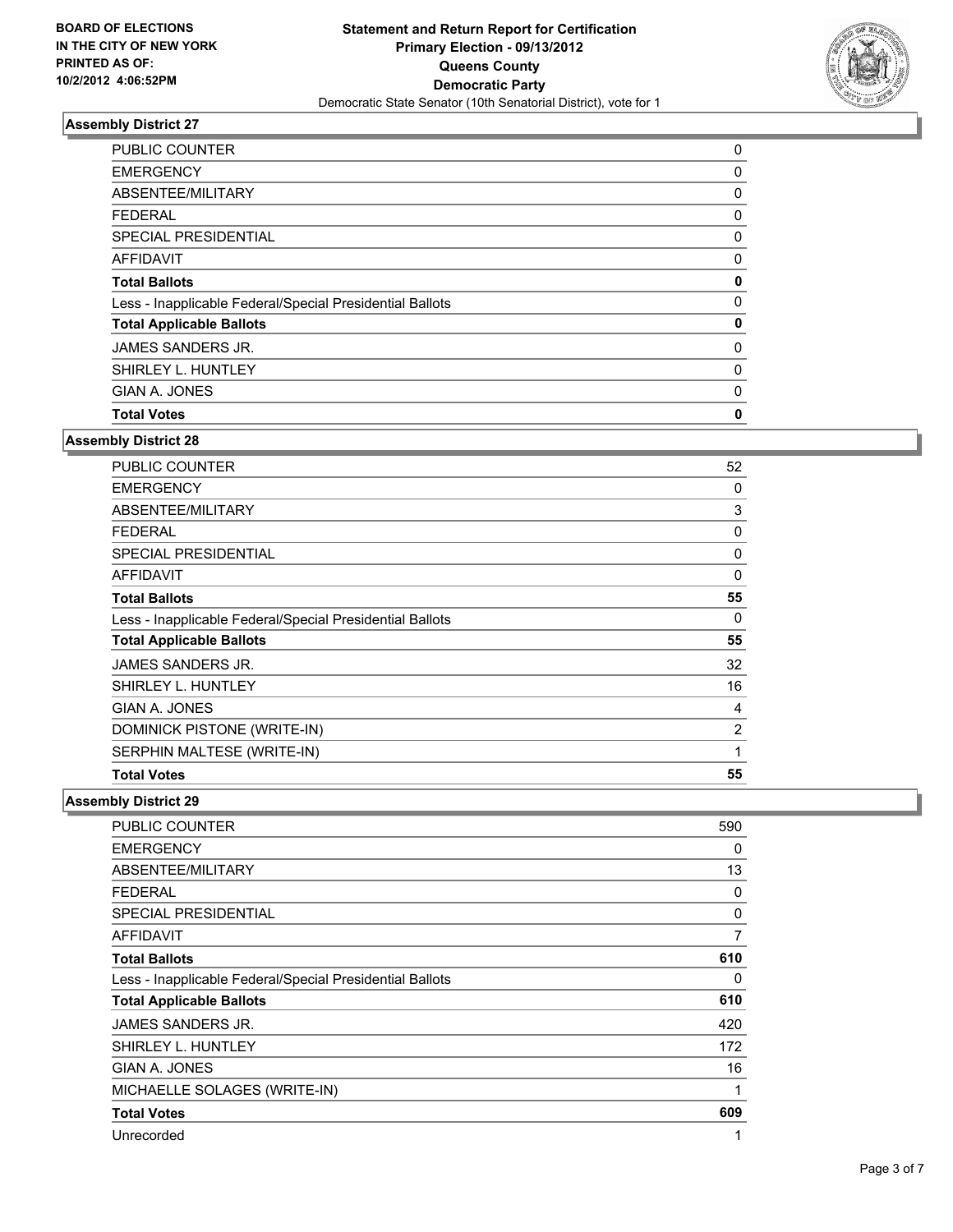

| <b>PUBLIC COUNTER</b>                                    | 0           |
|----------------------------------------------------------|-------------|
| <b>EMERGENCY</b>                                         | $\mathbf 0$ |
| ABSENTEE/MILITARY                                        | 0           |
| <b>FEDERAL</b>                                           | 0           |
| SPECIAL PRESIDENTIAL                                     | 0           |
| <b>AFFIDAVIT</b>                                         | 0           |
| <b>Total Ballots</b>                                     | 0           |
| Less - Inapplicable Federal/Special Presidential Ballots | 0           |
| <b>Total Applicable Ballots</b>                          | 0           |
| JAMES SANDERS JR.                                        | 0           |
| SHIRLEY L. HUNTLEY                                       | 0           |
| GIAN A. JONES                                            | $\mathbf 0$ |
| <b>Total Votes</b>                                       | 0           |

### **Assembly District 28**

| PUBLIC COUNTER                                           | 52       |
|----------------------------------------------------------|----------|
| <b>EMERGENCY</b>                                         | 0        |
| ABSENTEE/MILITARY                                        | 3        |
| FEDERAL                                                  | 0        |
| <b>SPECIAL PRESIDENTIAL</b>                              | 0        |
| <b>AFFIDAVIT</b>                                         | $\Omega$ |
| <b>Total Ballots</b>                                     | 55       |
| Less - Inapplicable Federal/Special Presidential Ballots | 0        |
| <b>Total Applicable Ballots</b>                          | 55       |
| JAMES SANDERS JR.                                        | 32       |
| SHIRLEY L. HUNTLEY                                       | 16       |
| GIAN A. JONES                                            | 4        |
| DOMINICK PISTONE (WRITE-IN)                              | 2        |
| SERPHIN MALTESE (WRITE-IN)                               | 1        |
| <b>Total Votes</b>                                       | 55       |

| PUBLIC COUNTER                                           | 590 |
|----------------------------------------------------------|-----|
| <b>EMERGENCY</b>                                         | 0   |
| <b>ABSENTEE/MILITARY</b>                                 | 13  |
| <b>FEDERAL</b>                                           | 0   |
| <b>SPECIAL PRESIDENTIAL</b>                              | 0   |
| <b>AFFIDAVIT</b>                                         | 7   |
| <b>Total Ballots</b>                                     | 610 |
| Less - Inapplicable Federal/Special Presidential Ballots | 0   |
| <b>Total Applicable Ballots</b>                          | 610 |
| JAMES SANDERS JR.                                        | 420 |
| SHIRLEY L. HUNTLEY                                       | 172 |
| GIAN A. JONES                                            | 16  |
| MICHAELLE SOLAGES (WRITE-IN)                             | 1   |
| <b>Total Votes</b>                                       | 609 |
| Unrecorded                                               | 1   |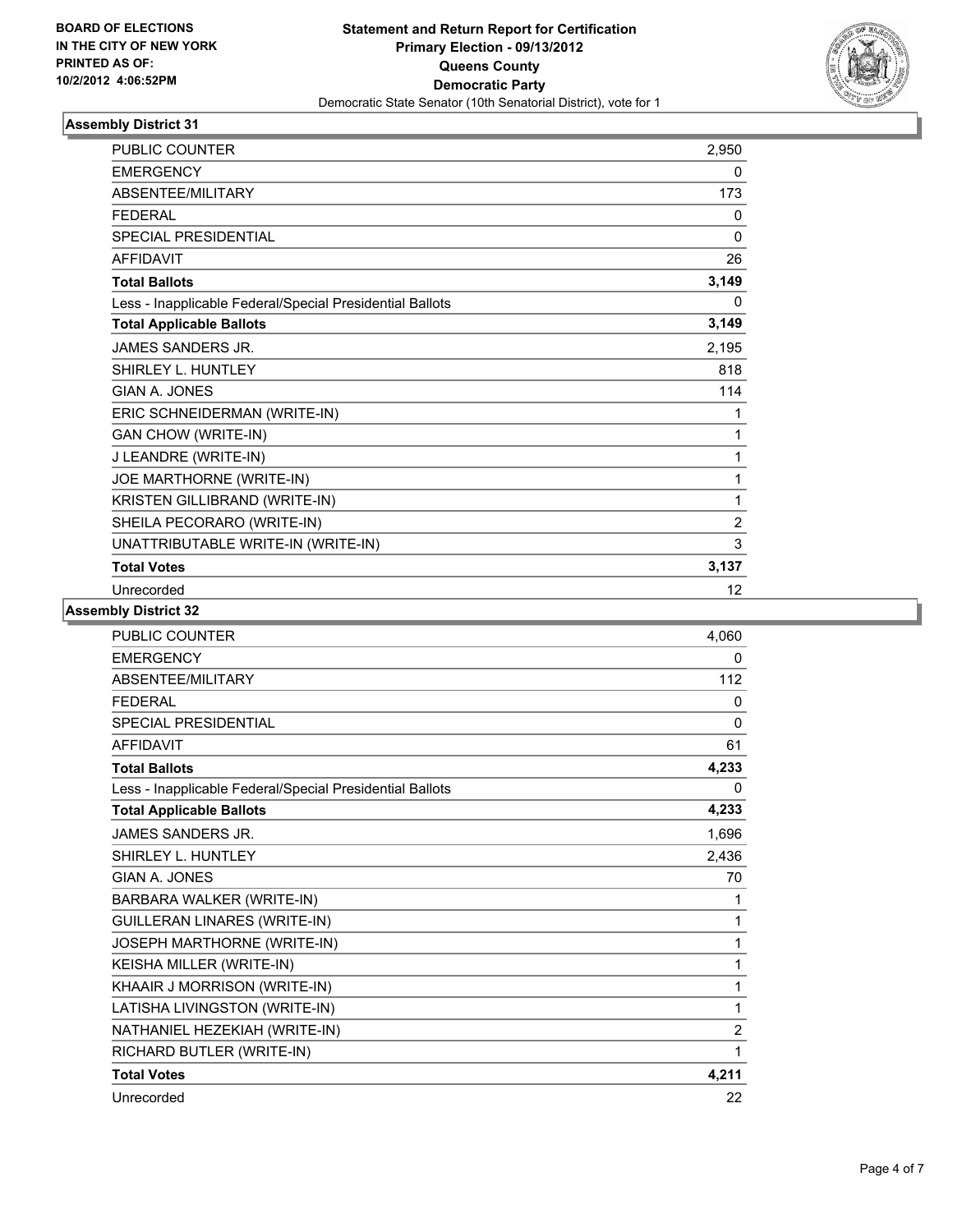

| <b>PUBLIC COUNTER</b>                                    | 2,950    |
|----------------------------------------------------------|----------|
| <b>EMERGENCY</b>                                         | 0        |
| ABSENTEE/MILITARY                                        | 173      |
| <b>FFDFRAI</b>                                           | 0        |
| <b>SPECIAL PRESIDENTIAL</b>                              | $\Omega$ |
| <b>AFFIDAVIT</b>                                         | 26       |
| <b>Total Ballots</b>                                     | 3,149    |
| Less - Inapplicable Federal/Special Presidential Ballots | 0        |
| <b>Total Applicable Ballots</b>                          | 3,149    |
| <b>JAMES SANDERS JR.</b>                                 | 2,195    |
| SHIRLEY L. HUNTLEY                                       | 818      |
| GIAN A. JONES                                            | 114      |
| ERIC SCHNEIDERMAN (WRITE-IN)                             | 1        |
| <b>GAN CHOW (WRITE-IN)</b>                               | 1        |
| J LEANDRE (WRITE-IN)                                     | 1        |
| JOE MARTHORNE (WRITE-IN)                                 | 1        |
| KRISTEN GILLIBRAND (WRITE-IN)                            | 1        |
| SHEILA PECORARO (WRITE-IN)                               | 2        |
| UNATTRIBUTABLE WRITE-IN (WRITE-IN)                       | 3        |
| <b>Total Votes</b>                                       | 3,137    |
| Unrecorded                                               | 12       |

| <b>PUBLIC COUNTER</b>                                    | 4,060          |
|----------------------------------------------------------|----------------|
| <b>EMERGENCY</b>                                         | 0              |
| ABSENTEE/MILITARY                                        | 112            |
| <b>FEDERAL</b>                                           | 0              |
| <b>SPECIAL PRESIDENTIAL</b>                              | $\Omega$       |
| <b>AFFIDAVIT</b>                                         | 61             |
| <b>Total Ballots</b>                                     | 4,233          |
| Less - Inapplicable Federal/Special Presidential Ballots | 0              |
| <b>Total Applicable Ballots</b>                          | 4,233          |
| <b>JAMES SANDERS JR.</b>                                 | 1,696          |
| SHIRLEY L. HUNTLEY                                       | 2,436          |
| <b>GIAN A. JONES</b>                                     | 70             |
| BARBARA WALKER (WRITE-IN)                                | 1              |
| <b>GUILLERAN LINARES (WRITE-IN)</b>                      | 1              |
| JOSEPH MARTHORNE (WRITE-IN)                              | 1              |
| KEISHA MILLER (WRITE-IN)                                 | 1              |
| KHAAIR J MORRISON (WRITE-IN)                             | 1              |
| LATISHA LIVINGSTON (WRITE-IN)                            | 1              |
| NATHANIEL HEZEKIAH (WRITE-IN)                            | $\overline{2}$ |
| RICHARD BUTLER (WRITE-IN)                                | 1              |
| <b>Total Votes</b>                                       | 4,211          |
| Unrecorded                                               | 22             |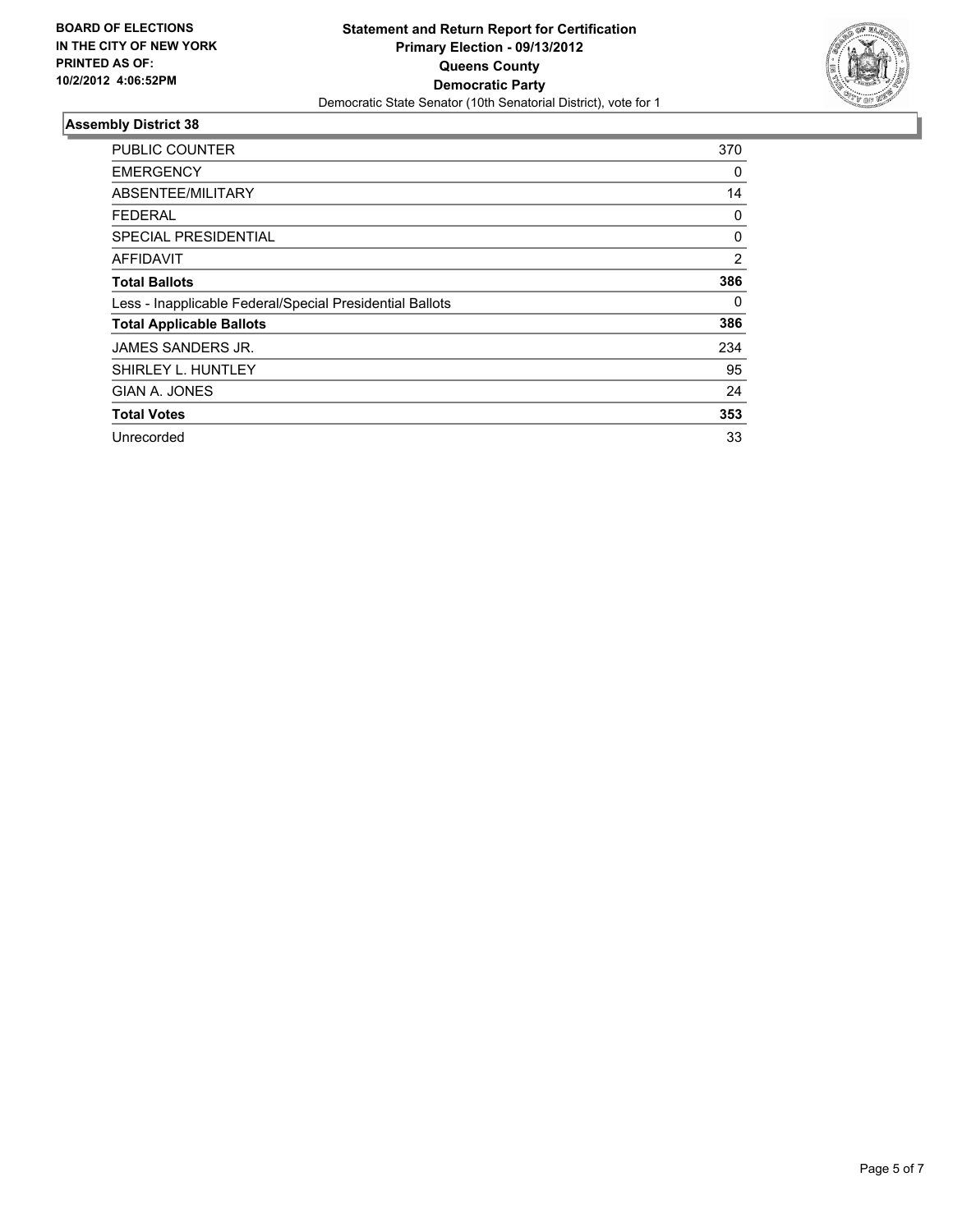

| PUBLIC COUNTER                                           | 370 |
|----------------------------------------------------------|-----|
| <b>EMERGENCY</b>                                         | 0   |
| ABSENTEE/MILITARY                                        | 14  |
| <b>FEDERAL</b>                                           | 0   |
| <b>SPECIAL PRESIDENTIAL</b>                              | 0   |
| <b>AFFIDAVIT</b>                                         | 2   |
| <b>Total Ballots</b>                                     | 386 |
| Less - Inapplicable Federal/Special Presidential Ballots | 0   |
| <b>Total Applicable Ballots</b>                          | 386 |
| JAMES SANDERS JR.                                        | 234 |
| SHIRLEY L. HUNTLEY                                       | 95  |
| GIAN A. JONES                                            | 24  |
| <b>Total Votes</b>                                       | 353 |
| Unrecorded                                               | 33  |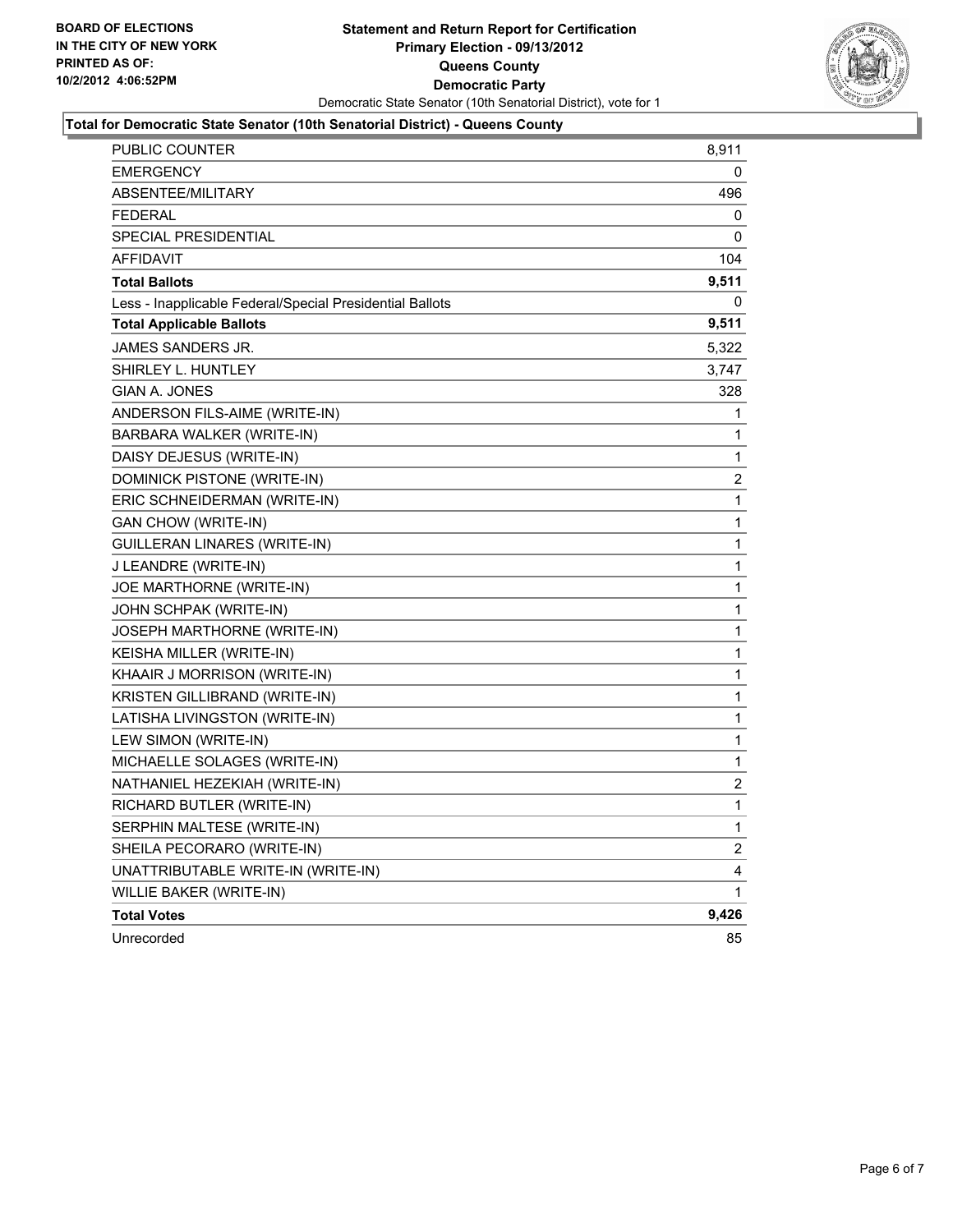

#### **Total for Democratic State Senator (10th Senatorial District) - Queens County**

| PUBLIC COUNTER                                           | 8,911                   |
|----------------------------------------------------------|-------------------------|
| <b>EMERGENCY</b>                                         | 0                       |
| <b>ABSENTEE/MILITARY</b>                                 | 496                     |
| <b>FEDERAL</b>                                           | 0                       |
| SPECIAL PRESIDENTIAL                                     | 0                       |
| <b>AFFIDAVIT</b>                                         | 104                     |
| <b>Total Ballots</b>                                     | 9,511                   |
| Less - Inapplicable Federal/Special Presidential Ballots | 0                       |
| <b>Total Applicable Ballots</b>                          | 9,511                   |
| <b>JAMES SANDERS JR.</b>                                 | 5,322                   |
| SHIRLEY L. HUNTLEY                                       | 3,747                   |
| GIAN A. JONES                                            | 328                     |
| ANDERSON FILS-AIME (WRITE-IN)                            | 1                       |
| BARBARA WALKER (WRITE-IN)                                | 1                       |
| DAISY DEJESUS (WRITE-IN)                                 | 1                       |
| DOMINICK PISTONE (WRITE-IN)                              | 2                       |
| ERIC SCHNEIDERMAN (WRITE-IN)                             | 1                       |
| <b>GAN CHOW (WRITE-IN)</b>                               | $\mathbf{1}$            |
| GUILLERAN LINARES (WRITE-IN)                             | 1                       |
| J LEANDRE (WRITE-IN)                                     | 1                       |
| JOE MARTHORNE (WRITE-IN)                                 | 1                       |
| JOHN SCHPAK (WRITE-IN)                                   | 1                       |
| JOSEPH MARTHORNE (WRITE-IN)                              | 1                       |
| KEISHA MILLER (WRITE-IN)                                 | 1                       |
| KHAAIR J MORRISON (WRITE-IN)                             | 1                       |
| KRISTEN GILLIBRAND (WRITE-IN)                            | 1                       |
| LATISHA LIVINGSTON (WRITE-IN)                            | 1                       |
| LEW SIMON (WRITE-IN)                                     | 1                       |
| MICHAELLE SOLAGES (WRITE-IN)                             | 1                       |
| NATHANIEL HEZEKIAH (WRITE-IN)                            | 2                       |
| RICHARD BUTLER (WRITE-IN)                                | 1                       |
| SERPHIN MALTESE (WRITE-IN)                               | 1                       |
| SHEILA PECORARO (WRITE-IN)                               | $\overline{\mathbf{c}}$ |
| UNATTRIBUTABLE WRITE-IN (WRITE-IN)                       | 4                       |
| WILLIE BAKER (WRITE-IN)                                  | 1                       |
| <b>Total Votes</b>                                       | 9,426                   |
| Unrecorded                                               | 85                      |